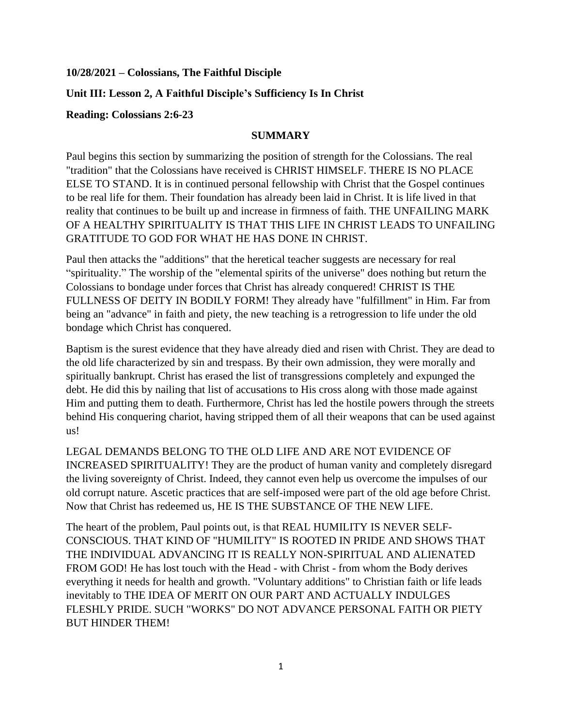#### **10/28/2021 – Colossians, The Faithful Disciple**

## **Unit III: Lesson 2, A Faithful Disciple's Sufficiency Is In Christ**

#### **Reading: Colossians 2:6-23**

#### **SUMMARY**

Paul begins this section by summarizing the position of strength for the Colossians. The real "tradition" that the Colossians have received is CHRIST HIMSELF. THERE IS NO PLACE ELSE TO STAND. It is in continued personal fellowship with Christ that the Gospel continues to be real life for them. Their foundation has already been laid in Christ. It is life lived in that reality that continues to be built up and increase in firmness of faith. THE UNFAILING MARK OF A HEALTHY SPIRITUALITY IS THAT THIS LIFE IN CHRIST LEADS TO UNFAILING GRATITUDE TO GOD FOR WHAT HE HAS DONE IN CHRIST.

Paul then attacks the "additions" that the heretical teacher suggests are necessary for real "spirituality." The worship of the "elemental spirits of the universe" does nothing but return the Colossians to bondage under forces that Christ has already conquered! CHRIST IS THE FULLNESS OF DEITY IN BODILY FORM! They already have "fulfillment" in Him. Far from being an "advance" in faith and piety, the new teaching is a retrogression to life under the old bondage which Christ has conquered.

Baptism is the surest evidence that they have already died and risen with Christ. They are dead to the old life characterized by sin and trespass. By their own admission, they were morally and spiritually bankrupt. Christ has erased the list of transgressions completely and expunged the debt. He did this by nailing that list of accusations to His cross along with those made against Him and putting them to death. Furthermore, Christ has led the hostile powers through the streets behind His conquering chariot, having stripped them of all their weapons that can be used against us!

LEGAL DEMANDS BELONG TO THE OLD LIFE AND ARE NOT EVIDENCE OF INCREASED SPIRITUALITY! They are the product of human vanity and completely disregard the living sovereignty of Christ. Indeed, they cannot even help us overcome the impulses of our old corrupt nature. Ascetic practices that are self-imposed were part of the old age before Christ. Now that Christ has redeemed us, HE IS THE SUBSTANCE OF THE NEW LIFE.

The heart of the problem, Paul points out, is that REAL HUMILITY IS NEVER SELF-CONSCIOUS. THAT KIND OF "HUMILITY" IS ROOTED IN PRIDE AND SHOWS THAT THE INDIVIDUAL ADVANCING IT IS REALLY NON-SPIRITUAL AND ALIENATED FROM GOD! He has lost touch with the Head - with Christ - from whom the Body derives everything it needs for health and growth. "Voluntary additions" to Christian faith or life leads inevitably to THE IDEA OF MERIT ON OUR PART AND ACTUALLY INDULGES FLESHLY PRIDE. SUCH "WORKS" DO NOT ADVANCE PERSONAL FAITH OR PIETY BUT HINDER THEM!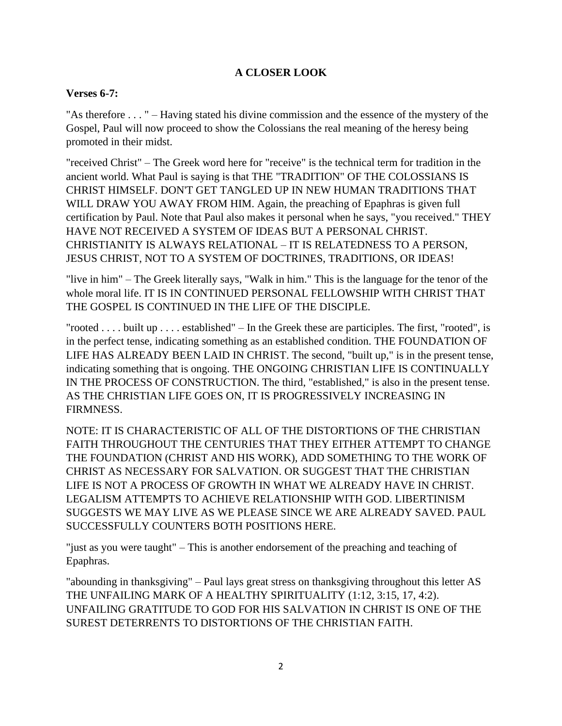# **A CLOSER LOOK**

### **Verses 6-7:**

"As therefore . . . " – Having stated his divine commission and the essence of the mystery of the Gospel, Paul will now proceed to show the Colossians the real meaning of the heresy being promoted in their midst.

"received Christ" – The Greek word here for "receive" is the technical term for tradition in the ancient world. What Paul is saying is that THE "TRADITION" OF THE COLOSSIANS IS CHRIST HIMSELF. DON'T GET TANGLED UP IN NEW HUMAN TRADITIONS THAT WILL DRAW YOU AWAY FROM HIM. Again, the preaching of Epaphras is given full certification by Paul. Note that Paul also makes it personal when he says, "you received." THEY HAVE NOT RECEIVED A SYSTEM OF IDEAS BUT A PERSONAL CHRIST. CHRISTIANITY IS ALWAYS RELATIONAL – IT IS RELATEDNESS TO A PERSON, JESUS CHRIST, NOT TO A SYSTEM OF DOCTRINES, TRADITIONS, OR IDEAS!

"live in him" – The Greek literally says, "Walk in him." This is the language for the tenor of the whole moral life. IT IS IN CONTINUED PERSONAL FELLOWSHIP WITH CHRIST THAT THE GOSPEL IS CONTINUED IN THE LIFE OF THE DISCIPLE.

"rooted . . . . built up . . . . established" – In the Greek these are participles. The first, "rooted", is in the perfect tense, indicating something as an established condition. THE FOUNDATION OF LIFE HAS ALREADY BEEN LAID IN CHRIST. The second, "built up," is in the present tense, indicating something that is ongoing. THE ONGOING CHRISTIAN LIFE IS CONTINUALLY IN THE PROCESS OF CONSTRUCTION. The third, "established," is also in the present tense. AS THE CHRISTIAN LIFE GOES ON, IT IS PROGRESSIVELY INCREASING IN FIRMNESS.

NOTE: IT IS CHARACTERISTIC OF ALL OF THE DISTORTIONS OF THE CHRISTIAN FAITH THROUGHOUT THE CENTURIES THAT THEY EITHER ATTEMPT TO CHANGE THE FOUNDATION (CHRIST AND HIS WORK), ADD SOMETHING TO THE WORK OF CHRIST AS NECESSARY FOR SALVATION. OR SUGGEST THAT THE CHRISTIAN LIFE IS NOT A PROCESS OF GROWTH IN WHAT WE ALREADY HAVE IN CHRIST. LEGALISM ATTEMPTS TO ACHIEVE RELATIONSHIP WITH GOD. LIBERTINISM SUGGESTS WE MAY LIVE AS WE PLEASE SINCE WE ARE ALREADY SAVED. PAUL SUCCESSFULLY COUNTERS BOTH POSITIONS HERE.

"just as you were taught" – This is another endorsement of the preaching and teaching of Epaphras.

"abounding in thanksgiving" – Paul lays great stress on thanksgiving throughout this letter AS THE UNFAILING MARK OF A HEALTHY SPIRITUALITY (1:12, 3:15, 17, 4:2). UNFAILING GRATITUDE TO GOD FOR HIS SALVATION IN CHRIST IS ONE OF THE SUREST DETERRENTS TO DISTORTIONS OF THE CHRISTIAN FAITH.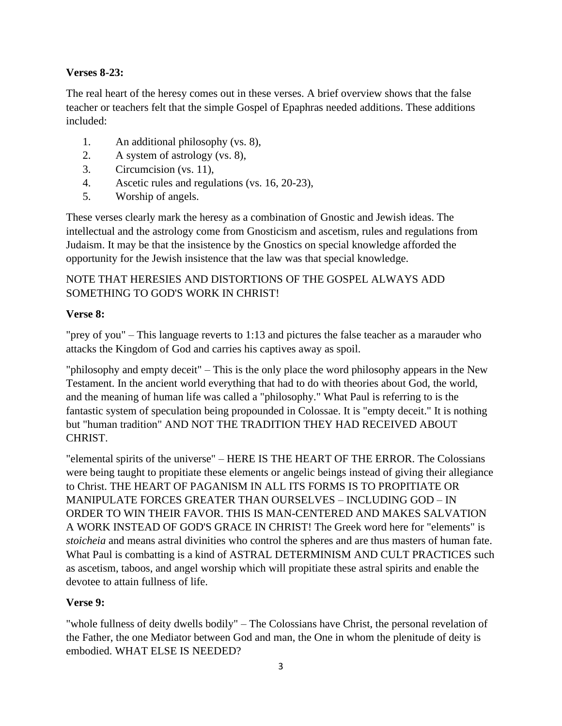## **Verses 8-23:**

The real heart of the heresy comes out in these verses. A brief overview shows that the false teacher or teachers felt that the simple Gospel of Epaphras needed additions. These additions included:

- 1. An additional philosophy (vs. 8),
- 2. A system of astrology (vs. 8),
- 3. Circumcision (vs. 11),
- 4. Ascetic rules and regulations (vs. 16, 20-23),
- 5. Worship of angels.

These verses clearly mark the heresy as a combination of Gnostic and Jewish ideas. The intellectual and the astrology come from Gnosticism and ascetism, rules and regulations from Judaism. It may be that the insistence by the Gnostics on special knowledge afforded the opportunity for the Jewish insistence that the law was that special knowledge.

# NOTE THAT HERESIES AND DISTORTIONS OF THE GOSPEL ALWAYS ADD SOMETHING TO GOD'S WORK IN CHRIST!

### **Verse 8:**

"prey of you" – This language reverts to 1:13 and pictures the false teacher as a marauder who attacks the Kingdom of God and carries his captives away as spoil.

"philosophy and empty deceit" – This is the only place the word philosophy appears in the New Testament. In the ancient world everything that had to do with theories about God, the world, and the meaning of human life was called a "philosophy." What Paul is referring to is the fantastic system of speculation being propounded in Colossae. It is "empty deceit." It is nothing but "human tradition" AND NOT THE TRADITION THEY HAD RECEIVED ABOUT CHRIST.

"elemental spirits of the universe" – HERE IS THE HEART OF THE ERROR. The Colossians were being taught to propitiate these elements or angelic beings instead of giving their allegiance to Christ. THE HEART OF PAGANISM IN ALL ITS FORMS IS TO PROPITIATE OR MANIPULATE FORCES GREATER THAN OURSELVES – INCLUDING GOD – IN ORDER TO WIN THEIR FAVOR. THIS IS MAN-CENTERED AND MAKES SALVATION A WORK INSTEAD OF GOD'S GRACE IN CHRIST! The Greek word here for "elements" is *stoicheia* and means astral divinities who control the spheres and are thus masters of human fate. What Paul is combatting is a kind of ASTRAL DETERMINISM AND CULT PRACTICES such as ascetism, taboos, and angel worship which will propitiate these astral spirits and enable the devotee to attain fullness of life.

## **Verse 9:**

"whole fullness of deity dwells bodily" – The Colossians have Christ, the personal revelation of the Father, the one Mediator between God and man, the One in whom the plenitude of deity is embodied. WHAT ELSE IS NEEDED?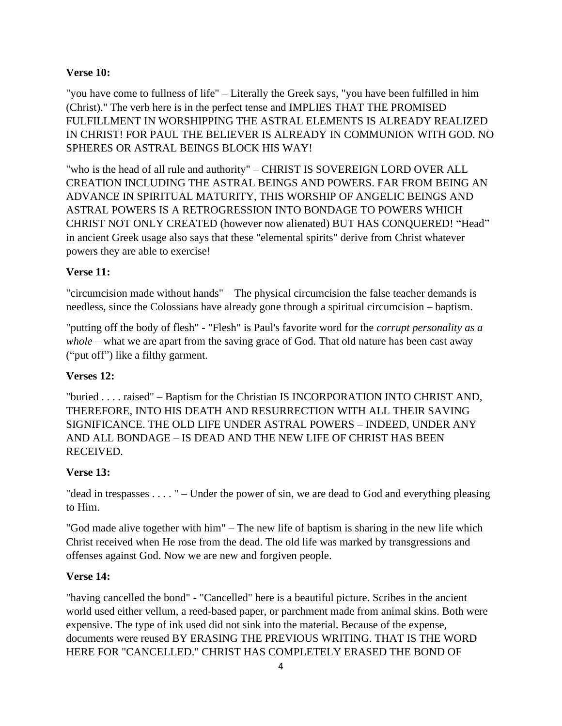## **Verse 10:**

"you have come to fullness of life" – Literally the Greek says, "you have been fulfilled in him (Christ)." The verb here is in the perfect tense and IMPLIES THAT THE PROMISED FULFILLMENT IN WORSHIPPING THE ASTRAL ELEMENTS IS ALREADY REALIZED IN CHRIST! FOR PAUL THE BELIEVER IS ALREADY IN COMMUNION WITH GOD. NO SPHERES OR ASTRAL BEINGS BLOCK HIS WAY!

"who is the head of all rule and authority" – CHRIST IS SOVEREIGN LORD OVER ALL CREATION INCLUDING THE ASTRAL BEINGS AND POWERS. FAR FROM BEING AN ADVANCE IN SPIRITUAL MATURITY, THIS WORSHIP OF ANGELIC BEINGS AND ASTRAL POWERS IS A RETROGRESSION INTO BONDAGE TO POWERS WHICH CHRIST NOT ONLY CREATED (however now alienated) BUT HAS CONQUERED! "Head" in ancient Greek usage also says that these "elemental spirits" derive from Christ whatever powers they are able to exercise!

### **Verse 11:**

"circumcision made without hands" – The physical circumcision the false teacher demands is needless, since the Colossians have already gone through a spiritual circumcision – baptism.

"putting off the body of flesh" - "Flesh" is Paul's favorite word for the *corrupt personality as a whole* – what we are apart from the saving grace of God. That old nature has been cast away ("put off") like a filthy garment.

#### **Verses 12:**

"buried . . . . raised" – Baptism for the Christian IS INCORPORATION INTO CHRIST AND, THEREFORE, INTO HIS DEATH AND RESURRECTION WITH ALL THEIR SAVING SIGNIFICANCE. THE OLD LIFE UNDER ASTRAL POWERS – INDEED, UNDER ANY AND ALL BONDAGE – IS DEAD AND THE NEW LIFE OF CHRIST HAS BEEN RECEIVED.

#### **Verse 13:**

"dead in trespasses . . . . " – Under the power of sin, we are dead to God and everything pleasing to Him.

"God made alive together with him" – The new life of baptism is sharing in the new life which Christ received when He rose from the dead. The old life was marked by transgressions and offenses against God. Now we are new and forgiven people.

#### **Verse 14:**

"having cancelled the bond" - "Cancelled" here is a beautiful picture. Scribes in the ancient world used either vellum, a reed-based paper, or parchment made from animal skins. Both were expensive. The type of ink used did not sink into the material. Because of the expense, documents were reused BY ERASING THE PREVIOUS WRITING. THAT IS THE WORD HERE FOR "CANCELLED." CHRIST HAS COMPLETELY ERASED THE BOND OF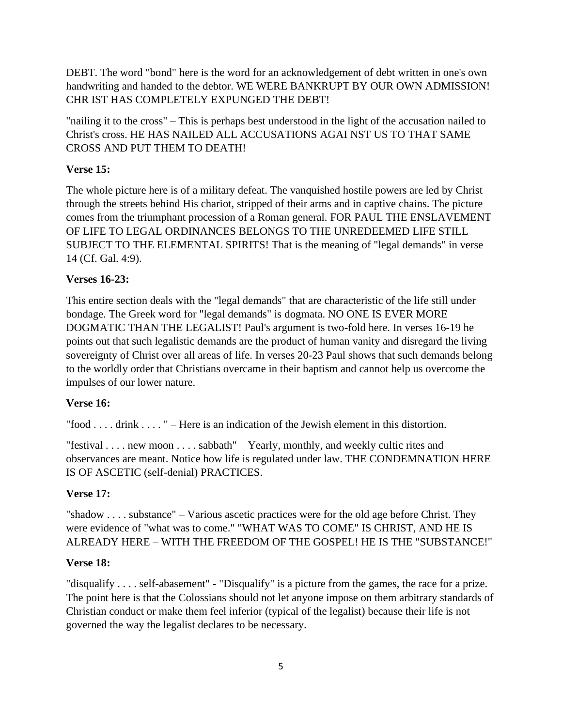DEBT. The word "bond" here is the word for an acknowledgement of debt written in one's own handwriting and handed to the debtor. WE WERE BANKRUPT BY OUR OWN ADMISSION! CHR IST HAS COMPLETELY EXPUNGED THE DEBT!

"nailing it to the cross" – This is perhaps best understood in the light of the accusation nailed to Christ's cross. HE HAS NAILED ALL ACCUSATIONS AGAI NST US TO THAT SAME CROSS AND PUT THEM TO DEATH!

# **Verse 15:**

The whole picture here is of a military defeat. The vanquished hostile powers are led by Christ through the streets behind His chariot, stripped of their arms and in captive chains. The picture comes from the triumphant procession of a Roman general. FOR PAUL THE ENSLAVEMENT OF LIFE TO LEGAL ORDINANCES BELONGS TO THE UNREDEEMED LIFE STILL SUBJECT TO THE ELEMENTAL SPIRITS! That is the meaning of "legal demands" in verse 14 (Cf. Gal. 4:9).

# **Verses 16-23:**

This entire section deals with the "legal demands" that are characteristic of the life still under bondage. The Greek word for "legal demands" is dogmata. NO ONE IS EVER MORE DOGMATIC THAN THE LEGALIST! Paul's argument is two-fold here. In verses 16-19 he points out that such legalistic demands are the product of human vanity and disregard the living sovereignty of Christ over all areas of life. In verses 20-23 Paul shows that such demands belong to the worldly order that Christians overcame in their baptism and cannot help us overcome the impulses of our lower nature.

## **Verse 16:**

"food . . . . drink . . . . " – Here is an indication of the Jewish element in this distortion.

"festival . . . . new moon . . . . sabbath" – Yearly, monthly, and weekly cultic rites and observances are meant. Notice how life is regulated under law. THE CONDEMNATION HERE IS OF ASCETIC (self-denial) PRACTICES.

# **Verse 17:**

"shadow . . . . substance" – Various ascetic practices were for the old age before Christ. They were evidence of "what was to come." "WHAT WAS TO COME" IS CHRIST, AND HE IS ALREADY HERE – WITH THE FREEDOM OF THE GOSPEL! HE IS THE "SUBSTANCE!"

## **Verse 18:**

"disqualify . . . . self-abasement" - "Disqualify" is a picture from the games, the race for a prize. The point here is that the Colossians should not let anyone impose on them arbitrary standards of Christian conduct or make them feel inferior (typical of the legalist) because their life is not governed the way the legalist declares to be necessary.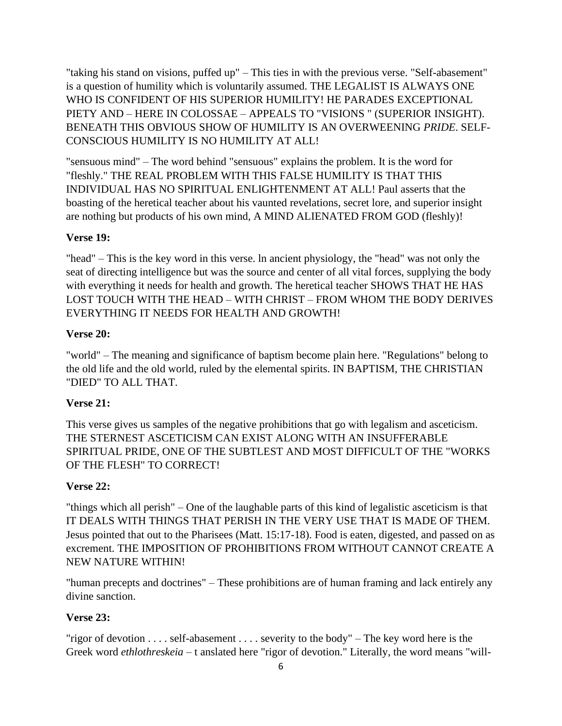"taking his stand on visions, puffed up" – This ties in with the previous verse. "Self-abasement" is a question of humility which is voluntarily assumed. THE LEGALIST IS ALWAYS ONE WHO IS CONFIDENT OF HIS SUPERIOR HUMILITY! HE PARADES EXCEPTIONAL PIETY AND – HERE IN COLOSSAE – APPEALS TO "VISIONS " (SUPERIOR INSIGHT). BENEATH THIS OBVIOUS SHOW OF HUMILITY IS AN OVERWEENING *PRIDE*. SELF-CONSCIOUS HUMILITY IS NO HUMILITY AT ALL!

"sensuous mind" – The word behind "sensuous" explains the problem. It is the word for "fleshly." THE REAL PROBLEM WITH THIS FALSE HUMILITY IS THAT THIS INDIVIDUAL HAS NO SPIRITUAL ENLIGHTENMENT AT ALL! Paul asserts that the boasting of the heretical teacher about his vaunted revelations, secret lore, and superior insight are nothing but products of his own mind, A MIND ALIENATED FROM GOD (fleshly)!

#### **Verse 19:**

"head" – This is the key word in this verse. ln ancient physiology, the "head" was not only the seat of directing intelligence but was the source and center of all vital forces, supplying the body with everything it needs for health and growth. The heretical teacher SHOWS THAT HE HAS LOST TOUCH WITH THE HEAD – WITH CHRIST – FROM WHOM THE BODY DERIVES EVERYTHING IT NEEDS FOR HEALTH AND GROWTH!

#### **Verse 20:**

"world" – The meaning and significance of baptism become plain here. "Regulations" belong to the old life and the old world, ruled by the elemental spirits. IN BAPTISM, THE CHRISTIAN "DIED" TO ALL THAT.

## **Verse 21:**

This verse gives us samples of the negative prohibitions that go with legalism and asceticism. THE STERNEST ASCETICISM CAN EXIST ALONG WITH AN INSUFFERABLE SPIRITUAL PRIDE, ONE OF THE SUBTLEST AND MOST DIFFICULT OF THE "WORKS OF THE FLESH" TO CORRECT!

#### **Verse 22:**

"things which all perish" – One of the laughable parts of this kind of legalistic asceticism is that IT DEALS WITH THINGS THAT PERISH IN THE VERY USE THAT IS MADE OF THEM. Jesus pointed that out to the Pharisees (Matt. 15:17-18). Food is eaten, digested, and passed on as excrement. THE IMPOSITION OF PROHIBITIONS FROM WITHOUT CANNOT CREATE A NEW NATURE WITHIN!

"human precepts and doctrines" – These prohibitions are of human framing and lack entirely any divine sanction.

#### **Verse 23:**

"rigor of devotion  $\dots$  self-abasement  $\dots$  severity to the body" – The key word here is the Greek word *ethlothreskeia* – t anslated here "rigor of devotion." Literally, the word means "will